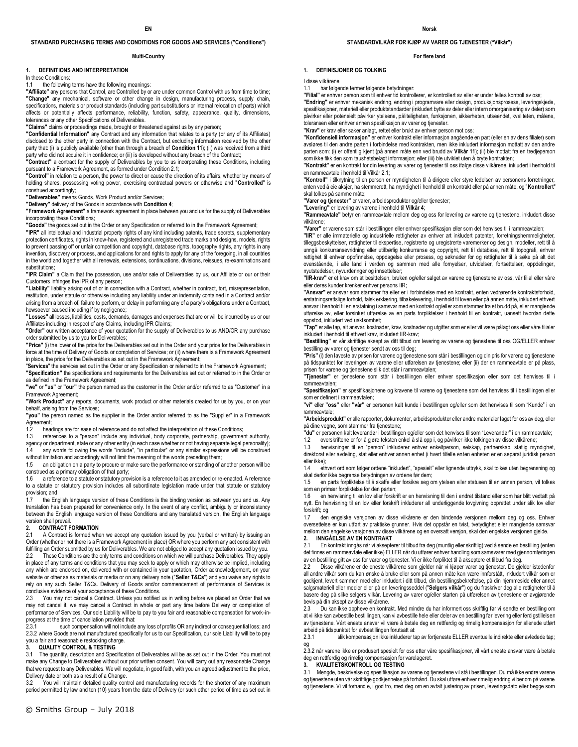### **STANDARD PURCHASING TERMS AND CONDITIONS FOR GOODS AND SERVICES ("Conditions")**

#### **Multi-Country**

#### **1. DEFINITIONS AND INTERPRETATION**

In these Conditions:

#### 1.1 the following terms have the following meanings:

**"Affiliate"** any persons that Control, are Controlled by or are under common Control with us from time to time; **"Change"** any mechanical, software or other change in design, manufacturing process, supply chain, specifications, materials or product standards (including part substitutions or internal relocation of parts) which affects or potentially affects performance, reliability, function, safety, appearance, quality, dimensions, tolerances or any other Specifications of Deliverables.

**"Claims"** claims or proceedings made, brought or threatened against us by any person;

**"Confidential Information"** any Contract and any information that relates to a party (or any of its Affiliates) disclosed to the other party in connection with the Contract, but excluding information received by the other party that: (i) is publicly available (other than through a breach of **Condition 11**); (ii) was received from a third party who did not acquire it in confidence; or (iii) is developed without any breach of the Contract;

**"Contract"** a contract for the supply of Deliverables by you to us incorporating these Conditions, including pursuant to a Framework Agreement, as formed under Condition 2.1;

**"Control"** in relation to a person, the power to direct or cause the direction of its affairs, whether by means of holding shares, possessing voting power, exercising contractual powers or otherwise and "**Controlled**" is construed accordingly;

**"Deliverables"** means Goods, Work Product and/or Services;

**"Delivery"** delivery of the Goods in accordance with **Condition 4**;

**"Framework Agreement"** a framework agreement in place between you and us for the supply of Deliverables incorporating these Conditions;

**"Goods"** the goods set out in the Order or any Specification or referred to in the Framework Agreement;

**"IPR"** all intellectual and industrial property rights of any kind including patents, trade secrets, supplementary protection certificates, rights in know-how, registered and unregistered trade marks and designs, models, rights .<br>to prevent passing off or unfair competition and copyright, database rights, topography rights, any rights in any invention, discovery or process, and applications for and rights to apply for any of the foregoing, in all countries in the world and together with all renewals, extensions, continuations, divisions, reissues, re-examinations and substitutions:

**"IPR Claim"** a Claim that the possession, use and/or sale of Deliverables by us, our Affiliate or our or their Customers infringes the IPR of any person;

**"Liability"** liability arising out of or in connection with a Contract, whether in contract, tort, misrepresentation, restitution, under statute or otherwise including any liability under an indemnity contained in a Contract and/or arising from a breach of, failure to perform, or delay in performing any of a party's obligations under a Contract, howsoever caused including if by negligence:

**"Losses"** all losses, liabilities, costs, demands, damages and expenses that are or will be incurred by us or our Affiliates including in respect of any Claims, including IPR Claims;

**"Order"** our written acceptance of your quotation for the supply of Deliverables to us AND/OR any purchase order submitted by us to you for Deliverables;

**"Price"** (i) the lower of the price for the Deliverables set out in the Order and your price for the Deliverables in force at the time of Delivery of Goods or completion of Services; or (ii) where there is a Framework Agreement in place, the price for the Deliverables as set out in the Framework Agreement;

"**Services**" the services set out in the Order or any Specification or referred to in the Framework Agreement; **"Specification"** the specifications and requirements for the Deliverables set out or referred to in the Order or

as defined in the Framework Agreement; **"we"** or **"us"** or **"our"** the person named as the customer in the Order and/or referred to as "Customer" in a

Framework Agreement; **"Work Product"** any reports, documents, work product or other materials created for us by you, or on your behalf, arising from the Services;

**"you"** the person named as the supplier in the Order and/or referred to as the "Supplier" in a Framework Agreement;

1.2 headings are for ease of reference and do not affect the interpretation of these Conditions;

1.3 references to a "person" include any individual, body corporate, partnership, government authority, agency or department, state or any other entity (in each case whether or not having separate legal personality); any words following the words "include", "in particular" or any similar expressions will be construed

without limitation and accordingly will not limit the meaning of the words preceding them; 1.5 an obligation on a party to procure or make sure the performance or standing of another person will be

construed as a primary obligation of that party; 1.6 a reference to a statute or statutory provision is a reference to it as amended or re-enacted. A reference to a statute or statutory provision includes all subordinate legislation made under that statute or statutory provision; and

1.7 the English language version of these Conditions is the binding version as between you and us. Any translation has been prepared for convenience only. In the event of any conflict, ambiguity or inconsistency between the English language version of these Conditions and any translated version, the English language version shall prevail.<br>2. **CONTRACT F** 

#### **2. CONTRACT FORMATION**

2.1 A Contract is formed when we accept any quotation issued by you (verbal or written) by issuing an Order (whether or not there is a Framework Agreement in place) OR where you perform any act consistent with fulfilling an Order submitted by us for Deliverables. We are not obliged to accept any quotation issued by you.

2.2 These Conditions are the only terms and conditions on which we will purchase Deliverables. They apply in place of any terms and conditions that you may seek to apply or which may otherwise be implied, including any which are endorsed on, delivered with or contained in your quotation, Order acknowledgement, on your website or other sales materials or media or on any delivery note ("**Seller T&Cs**") and you waive any rights to rely on any such Seller T&Cs. Delivery of Goods and/or commencement of performance of Services is conclusive evidence of your acceptance of these Conditions.

2.3 You may not cancel a Contract. Unless you notified us in writing before we placed an Order that we may not cancel it, we may cancel a Contract in whole or part any time before Delivery or completion of performance of Services. Our sole Liability will be to pay to you fair and reasonable compensation for work-inprogress at the time of cancellation provided that:<br>2.3.1 such compensation will not include

such compensation will not include any loss of profits OR any indirect or consequential loss; and 2.3.2 where Goods are not manufactured specifically for us to our Specification, our sole Liability will be to pay you a fair and reasonable restocking charge.

#### **3. QUALITY CONTROL & TESTING**

3.1 The quantity, description and Specification of Deliverables will be as set out in the Order. You must not make any Change to Deliverables without our prior written consent. You will carry out any reasonable Change that we request to any Deliverables. We will negotiate, in good faith, with you an agreed adjustment to the price, Delivery date or both as a result of a Change.

.<br>You will maintain detailed quality control and manufacturing records for the shorter of any maximum period permitted by law and ten (10) years from the date of Delivery (or such other period of time as set out in

#### **STANDARDVILKÅR FOR KJØP AV VARER OG TJENESTER ("Vilkår")**

#### **For flere land**

### **1. DEFINISJONER OG TOLKING**

I disse vilkårene

1.1 har følgende termer følgende betydninger:

**"Filial"** er enhver person som til enhver tid kontrollerer, er kontrollert av eller er under felles kontroll av oss; **"Endring"** er enhver mekanisk endring, endring i programvare eller design, produksjonsprosess, leveringskjede, spesifikasjoner, materiell eller produktstandarder (inkludert bytte av deler eller intern omorganisering av deler) som påvirker eller potensielt påvirker ytelsene, påliteligheten, funksjonen, sikkerheten, utseendet, kvaliteten, målene, toleransen eller enhver annen spesifikasjon av varer og tjenester.

**"Krav"** er krav eller saker anlagt, rettet eller brukt av enhver person mot oss;

**"Konfidensiell informasjon"** er enhver kontrakt eller informasjon angående en part (eller en av dens filialer) som avsløres til den andre parten i forbindelse med kontrakten, men ikke inkludert informasjon mottatt av den andre parten som: (i) er offentlig kjent (på annen måte enn ved brudd av **Vilkår 11**); (ii) ble mottatt fra en tredjeperson som ikke fikk den som taushetsbelagt informasjon; eller (iii) ble utviklet uten å bryte kontrakten;

**"Kontrakt"** er en kontrakt for din levering av varer og tjenester til oss ifølge disse vilkårene, inkludert i henhold til en rammeavtale i henhold til Vilkår 2.1;

**"Kontroll"** i tilknytning til en person er myndigheten til å dirigere eller styre ledelsen av personens forretninger, enten ved å eie aksjer, ha stemmerett, ha myndighet i henhold til en kontrakt eller på annen måte, og "**Kontrollert**" skal tolkes på samme måte;

**"Varer og tjenester"** er varer, arbeidsprodukter og/eller tjenester;

**"Levering"** er levering av varene i henhold til **Vilkår 4**;

**"Rammeavtale"** betyr en rammeavtale mellom deg og oss for levering av varene og tjenestene, inkludert disse vilkårene;

**"Varer"** er varene som står i bestillingen eller enhver spesifikasjon eller som det henvises til i rammeavtalen;

**"IIR"** er alle immaterielle og industrielle rettigheter av enhver art inkludert patenter, forretningshemmeligheter, tilleggsbeskyttelser, rettigheter til ekspertise, registrerte og uregistrerte varemerker og design, modeller, rett til å unngå konkurransevridning eller utilbørlig konkurranse og copyright, rett til database, rett til topografi, enhver rettighet til enhver oppfinnelse, oppdagelse eller prosess, og søknader for og rettigheter til å søke på alt det ovenstående, i alle land i verden og sammen med alle fornyelser, utvidelser, fortsettelser, oppdelinger, nyutstedelser, nyvurderinger og innsettelser;

**"IIR-krav"** er et krav om at besittelsen, bruken og/eller salget av varene og tjenestene av oss, vår filial eller våre eller deres kunder krenker enhver persons IIR;

**"Ansvar"** er ansvar som stammer fra eller er i forbindelse med en kontrakt, enten vedrørende kontraktsforhold, erstatningsrettslige forhold, falsk erklæring, tilbakelevering, i henhold til loven eller på annen måte, inkludert ethvert ansvar i henhold til en erstatning i samsvar med en kontrakt og/eller som stammer fra et brudd på, eller manglende utførelse av, eller forsinket utførelse av en parts forpliktelser i henhold til en kontrakt, uansett hvordan dette oppstod, inkludert ved uaktsomhet;

**"Tap"** er alle tap, alt ansvar, kostnader, krav, kostnader og utgifter som er eller vil være pålagt oss eller våre filialer inkludert i henhold til ethvert krav, inkludert IIR-krav;

**"Bestilling"** er vår skriftlige aksept av ditt tilbud om levering av varene og tjenestene til oss OG/ELLER enhver bestilling av varer og tjenester sendt av oss til deg;

**"Pris"** (i) den laveste av prisen for varene og tjenestene som står i bestillingen og din pris for varene og tjenestene på tidspunktet for leveringen av varene eller utførelsen av tjenestene; eller (ii) der en rammeavtale er på plass,

prisen for varene og tjenestene slik det står i rammeavtalen;<br>**"Tjenester"** er tjenestene som står i bestillingen eller enhver spesifikasjon eller som det henvises til i rammeavtalen;

**"Spesifikasjon"** er spesifikasjonene og kravene til varene og tjenestene som det henvises til i bestillingen eller som er definert i rammeavtalen;

**"vi"** eller **"oss"** eller **"vår"** er personen kalt kunde i bestillingen og/eller som det henvises til som "Kunde" i en rammeavtale;

**"Arbeidsprodukt"** er alle rapporter, dokumenter, arbeidsprodukter eller andre materialer laget for oss av deg, eller på dine vegne, som stammer fra tjenestene;

**"du"** er personen kalt leverandør i bestillingen og/eller som det henvises til som "Leverandør" i en rammeavtale;

1.2 overskriftene er for å gjøre teksten enkel å slå opp i, og påvirker ikke tolkingen av disse vilkårene;

1.3 henvisninger til en "person" inkluderer enhver enkeltperson, selskap, partnerskap, statlig myndighet, direktorat eller avdeling, stat eller enhver annen enhet (i hvert tilfelle enten enheten er en separat juridisk person eller ikke);<br>1.4 eth

1.4 ethvert ord som følger ordene "inkludert", "spesielt" eller lignende uttrykk, skal tolkes uten begrensning og skal derfor ikke begrense betydningen av ordene før dem;

1.5 en parts forpliktelse til å skaffe eller forsikre seg om ytelsen eller statusen til en annen person, vil tolkes som en primær forpliktelse for den parten;

1.6 – en henvisning til en lov eller forskrift er en henvisning til den i endret tilstand eller som har blitt vedtatt på<br>nytt. En henvisning til en lov eller forskrift inkluderer all underliggende lovgivning opprettet unde forskrift; og

1.7 den engelske versjonen av disse vilkårene er den bindende versjonen mellom deg og oss. Enhver oversettelse er kun utført av praktiske grunner. Hvis det oppstår en tvist, tvetydighet eller manglende samsvar mellom den engelske versjonen av disse vilkårene og en oversatt versjon, skal den engelske versjonen gjelde. **2. INNGÅELSE AV EN KONTRAKT**

2.1 En kontrakt inngås når vi aksepterer til tilbud fra deg (muntlig eller skriftlig) ved å sende en bestilling (enten det finnes en rammeavtale eller ikke) ELLER når du utfører enhver handling som samsvarer med gjennomføringen av en bestilling gitt av oss for varer og tjenester. Vi er ikke forpliktet til å akseptere et tilbud fra deg.

2.2 Disse vilkårene er de eneste vilkårene som gjelder når vi kjøper varer og tjenester. De gjelder istedenfor all andre vilkår som du kan ønske å bruke eller som på annen måte kan være innforstått, inkludert vilkår som er godkjent, levert sammen med eller inkludert i ditt tilbud, din bestillingsbekreftelse, på din hjemmeside eller annet salgsmateriell eller medier eller på en leveringsseddel ("**Selgers vilkår**") og du fraskriver deg alle rettigheter til å basere deg på slike selgers vilkår. Levering av varer og/eller starten på utførelsen av tjenestene er avgjørende bevis på din aksept av disse vilkårene.

2.3 Du kan ikke oppheve en kontrakt. Med mindre du har informert oss skriftlig før vi sendte en bestilling om at vi ikke kan avbestille bestillingen, kan vi avbestille hele eller deler av en bestilling før levering eller ferdigstillelsen av tjenestene. Vårt eneste ansvar vil være å betale deg en rettferdig og rimelig kompensasjon for allerede utført arbeid på tidspunktet for avbestillingen forutsatt at:<br>2.3.1 slik kompensasjon ikke inkluderer ta

slik kompensasjon ikke inkluderer tap av fortjeneste ELLER eventuelle indirekte eller avledede tap; og<br>2.3.2 når varene ikke er produsert spesielt for oss etter våre spesifikasjoner, vil vårt eneste ansvar være å betale

deg en rettferdig og rimelig kompensasjon for varelageret.<br>
3. KVALITETSKONTROLL OG TESTING

**3. KVALITETSKONTROLL OG TESTING**

3.1 Mengde, beskrivelse og spesifikasjon av varene og tjenestene vil stå i bestillingen. Du må ikke endre varene og tjenestene uten vår skriftlige godkjennelse på forhånd. Du skal utføre enhver rimelig endring vi ber om på varene og tjenestene. Vi vil forhandle, i god tro, med deg om en avtalt justering av prisen, leveringsdato eller begge som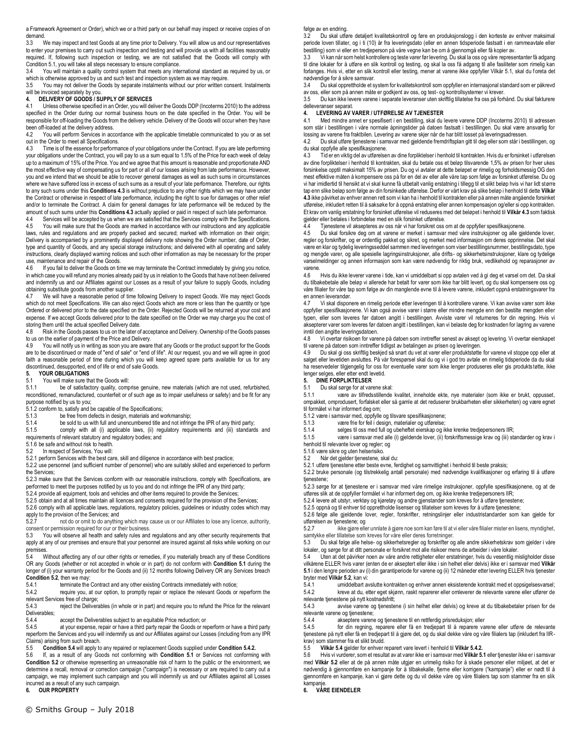a Framework Agreement or Order), which we or a third party on our behalf may inspect or receive copies of on demand.

3.3 We may inspect and test Goods at any time prior to Delivery. You will allow us and our representatives to enter your premises to carry out such inspection and testing and will provide us with all facilities reasonably required. If, following such inspection or testing, we are not satisfied that the Goods will comply with Condition 5.1, you will take all steps necessary to ensure compliance.

3.4 You will maintain a quality control system that meets any international standard as required by us, or which is otherwise approved by us and such test and inspection system as we may require.

3.5 You may not deliver the Goods by separate instalments without our prior written consent. Instalments will be invoiced separately by you.

#### **4. DELIVERY OF GOODS / SUPPLY OF SERVICES**

4.1 Unless otherwise specified in an Order, you will deliver the Goods DDP (Incoterms 2010) to the address specified in the Order during our normal business hours on the date specified in the Order. You will be responsible for off-loading the Goods from the delivery vehicle. Delivery of the Goods will occur when they have been off-loaded at the delivery address.

4.2 You will perform Services in accordance with the applicable timetable communicated to you or as set out in the Order to meet all Specifications.

4.3 Time is of the essence for performance of your obligations under the Contract. If you are late performing your obligations under the Contract, you will pay to us a sum equal to 1.5% of the Price for each week of delay up to a maximum of 15% of the Price. You and we agree that this amount is reasonable and proportionate AND the most effective way of compensating us for part or all of our losses arising from late performance. However, you and we intend that we should be able to recover general damages as well as such sums in circumstances where we have suffered loss in excess of such sums as a result of your late performance. Therefore, our rights to any such sums under this **Conditions 4.3** is without prejudice to any other rights which we may have under the Contract or otherwise in respect of late performance, including the right to sue for damages or other relief and/or to terminate the Contract. A claim for general damages for late performance will be reduced by the amount of such sums under this **Conditions 4.3** actually applied or paid in respect of such late performance.

4.4 Services will be accepted by us when we are satisfied that the Services comply with the Specifications.<br>4.5 You will make sure that the Goods are marked in accordance with our instructions and any applicable You will make sure that the Goods are marked in accordance with our instructions and any applicable laws, rules and regulations and are properly packed and secured; marked with information on their origin; Delivery is accompanied by a prominently displayed delivery note showing the Order number, date of Order, type and quantity of Goods, and any special storage instructions; and delivered with all operating and safety instructions, clearly displayed warning notices and such other information as may be necessary for the proper use, maintenance and repair of the Goods.<br>4.6 If you fail to deliver the Goods on tir

If you fail to deliver the Goods on time we may terminate the Contract immediately by giving you notice, in which case you will refund any monies already paid by us in relation to the Goods that have not been delivered and indemnify us and our Affiliates against our Losses as a result of your failure to supply Goods, including obtaining substitute goods from another supplier.

We will have a reasonable period of time following Delivery to inspect Goods. We may reject Goods which do not meet Specifications. We can also reject Goods which are more or less than the quantity or type Ordered or delivered prior to the date specified on the Order. Rejected Goods will be returned at your cost and expense. If we accept Goods delivered prior to the date specified on the Order we may charge you the cost of storing them until the actual specified Delivery date.

4.8 Risk in the Goods passes to us on the later of acceptance and Delivery. Ownership of the Goods passes to us on the earlier of payment of the Price and Delivery.<br>4.9 You will notify us in writing as soon you are aware

You will notify us in writing as soon you are aware that any Goods or the product support for the Goods are to be discontinued or made of "end of sale" or "end of life". At our request, you and we will agree in good faith a reasonable period of time during which you will keep agreed spare parts available for us for any discontinued, desupported, end of life or end of sale Goods.

### **5. YOUR OBLIGATIONS**

#### 5.1 You will make sure that the Goods will:

5.1.1 be of satisfactory quality, comprise genuine, new materials (which are not used, refurbished, reconditioned, remanufactured, counterfeit or of such age as to impair usefulness or safety) and be fit for any purpose notified by us to you;

 $5.1.2$  conform to, satisfy and be capable of the Specifications;<br>5.1.3 be free from defects in design. materials and w

be free from defects in design, materials and workmanship;

5.1.4 be sold to us with full and unencumbered title and not infringe the IPR of any third party;<br>5.1.5 comply with all (i) applicable laws. (ii) requiatory requirements and (iii) standard

comply with all (i) applicable laws, (ii) regulatory requirements and (iii) standards and

requirements of relevant statutory and regulatory bodies; and

5.1.6 be safe and without risk to health.

5.2 In respect of Services, You will:

5.2.1 perform Services with the best care, skill and diligence in accordance with best practice; 5.2.2 use personnel (and sufficient number of personnel) who are suitably skilled and experienced to perform

the Services;

5.2.3 make sure that the Services conform with our reasonable instructions, comply with Specifications, are performed to meet the purposes notified by us to you and do not infringe the IPR of any third party; 5.2.4 provide all equipment, tools and vehicles and other items required to provide the Services;

5.2.5 obtain and at all times maintain all licences and consents required for the provision of the Services;

5.2.6 comply with all applicable laws, regulations, regulatory policies, guidelines or industry codes which may

apply to the provision of the Services; and<br>5.2.7 pot do or omit to do anything not do or omit to do anything which may cause us or our Affiliates to lose any licence, authority,

consent or permission required for our or their business.<br>5.3 You will observe all health and safety rules and You will observe all health and safety rules and regulations and any other security requirements that apply at any of our premises and ensure that your personnel are insured against all risks while working on our premises.

5.4 Without affecting any of our other rights or remedies, if you materially breach any of these Conditions OR any Goods (whether or not accepted in whole or in part) do not conform with **Condition 5.1** during the longer of (i) your warranty period for the Goods and (ii) 12 months following Delivery OR any Services breach **Condition 5.2**, then we may:<br>5.4.1 terminate the

5.4.1 terminate the Contract and any other existing Contracts immediately with notice;<br>5.4.2 require you, at our option, to promptly repair or replace the relevant Goods or

require you, at our option, to promptly repair or replace the relevant Goods or reperform the relevant Services free of charge;

5.4.3 reject the Deliverables (in whole or in part) and require you to refund the Price for the relevant Deliverables;<br>5.4.4

5.4.4 accept the Deliverables subject to an equitable Price reduction; or 5.4.5 at your expense, repair or have a third party repair the Goods or re

at your expense, repair or have a third party repair the Goods or reperform or have a third party reperform the Services and you will indemnify us and our Affiliates against our Losses (including from any IPR Claims) arising from such breach.<br>5.5 Condition 5.4 will apply to

5.5 **Condition 5.4** will apply to any repaired or replacement Goods supplied under **Condition 5.4.2.**

5.6 If, as a result of any Goods not conforming with **Condition 5.1** or Services not conforming with **Condition 5.2** or otherwise representing an unreasonable risk of harm to the public or the environment, we determine a recall, removal or correction campaign ("campaign") is necessary or are required to carry out a campaign, we may implement such campaign and you will indemnify us and our Affiliates against all Losses incurred as a result of any such campaign.

### **6. OUR PROPERTY**

#### følge av en endring.

3.2 Du skal utføre detaljert kvalitetskontroll og føre en produksjonslogg i den korteste av enhver maksimal periode loven tillater, og i ti (10) år fra leveringsdato (eller en annen tidsperiode fastsatt i en rammeavtale eller bestilling) som vi eller en tredjeperson på våre vegne kan be om å gjennomgå eller få kopier av.

Vi kan når som helst kontrollere og teste varer før levering. Du skal la oss og våre representanter få adgang til dine lokaler for å utføre en slik kontroll og testing, og skal la oss få adgang til alle fasiliteter som rimelig kan forlanges. Hvis vi, etter en slik kontroll eller testing, mener at varene ikke oppfyller Vilkår 5.1, skal du f oreta det nødvendige for å sikre samsvar.

3.4 Du skal opprettholde et system for kvalitetskontroll som oppfyller en internasjonal standard som er påkrevd av oss, eller som på annen måte er godkjent av oss, og test- og kontrollsystemer vi krever.

3.5 Du kan ikke levere varene i separate leveranser uten skriftlig tillatelse fra oss på forhånd. Du skal fakturere delleveranser separat.

### **4. LEVERING AV VARER / UTFØRELSE AV TJENESTER**

4.1 Med mindre annet er spesifisert i en bestilling, skal du levere varene DDP (Incoterms 2010) til adressen som står i bestillingen i våre normale åpningstider på datoen fastsatt i bestillingen. Du skal være ansvarlig for lossing av varene fra fraktbilen. Levering av varene skjer når de har blitt losset på leveringsadressen.

4.2 Du skal utføre tjenestene i samsvar med gjeldende fremdriftsplan gitt til deg eller som står i bestillingen, og du skal oppfylle alle spesifikasjonene.

4.3 Tid er en viktig del av utførelsen av dine forpliktelser i henhold til kontrakten. Hvis du er forsinket i utførelsen av dine forpliktelser i henhold til kontrakten, skal du betale oss et beløp tilsvarende 1,5% av prisen for hver ukes forsinkelse opptil maksimalt 15% av prisen. Du og vi avtaler at dette beløpet er rimelig og forholdsmessig OG den mest effektive måten å kompensere oss på for en del av eller alle våre tap som følge av forsinket utførelse. Du og vi har imidlertid til hensikt at vi skal kunne få utbetalt vanlig erstatning i tillegg til et slikt beløp hvis vi har lidt større tap enn slike beløp som følge av din forsinkede utførelse. Derfor er vårt krav på slike beløp i henhold til dette **Vilkår 4.3** ikke påvirket av enhver annen rett som vi kan ha i henhold til kontrakten eller på annen måte angående forsinket utførelse, inkludert retten til å saksøke for å oppnå erstatning eller annen kompensasjon og/eller si opp kontrakten. Et krav om vanlig erstatning for forsinket utførelse vil reduseres med det beløpet i henhold til **Vilkår 4.3** som faktisk gjelder eller betales i forbindelse med en slik forsinket utførelse.<br>4.4 Tienestene vil aksepteres av oss når vi har forsikret oss

Tjenestene vil aksepteres av oss når vi har forsikret oss om at de oppfyller spesifikasjonene.

4.5 Du skal forsikre deg om at varene er merket i samsvar med våre instruksjoner og alle gjeldende lover, regler og forskrifter, og er ordentlig pakket og sikret, og merket med informasjon om deres opprinnelse. Det skal være en klar og tydelig leveringsseddel sammen med leveringen som viser bestillingsnummer, bestillingsdato, type og mengde varer, og alle spesielle lagringsinstruksjoner, alle drifts- og sikkerhetsinstruksjoner, klare og tydelige varselmeldinger og annen informasjon som kan være nødvendig for riktig bruk, vedlikehold og reparasjoner av varene.

4.6 Hvis du ikke leverer varene i tide, kan vi umiddelbart si opp avtalen ved å gi deg et varsel om det. Da skal du tilbakebetale alle beløp vi allerede har betalt for varer som ikke har blitt levert, og du skal kompensere oss og våre filialer for våre tap som følge av din manglende evne til å levere varene, inkludert oppnå erstatningsvarer fra en annen leverandør.

4.7 Vi skal disponere en rimelig periode etter leveringen til å kontrollere varene. Vi kan avvise varer som ikke oppfyller spesifikasjonene. Vi kan også avvise varer i større eller mindre mengde enn den bestilte mengden eller typen, eller som leveres før datoen angitt i bestillingen. Avviste varer vil returneres for din regning. Hvis vi aksepterer varer som leveres før datoen angitt i bestillingen, kan vi belaste deg for kostnaden for lagring av varene inntil den angitte leveringsdatoen.<br>4.8 Vi overtar risikoen for vare

4.8 Vi overtar risikoen for varene på datoen som inntreffer senest av aksept og levering. Vi overtar eierskapet til varene på datoen som inntreffer tidligst av betalingen av prisen og leveringen.

4.9 Du skal gi oss skriftlig beskjed så snart du vet at varer eller produktstøtte for varene vil stoppe opp eller at salget eller levetiden avsluttes. På vår forespørsel skal du og vi i god tro avtale en rimelig tidsperiode da du skal<br>ha reservedeler tilgjengelig for oss for eventuelle varer som ikke lenger produseres eller gis produktst lenger selges, eller etter endt levetid.

### **5. DINE FORPLIKTELSER**<br>5.1 Du skal sørge for at van

5.1 Du skal sørge for at varene skal:

5.1.1 være av tilfredsstillende kvalitet, inneholde ekte, nye materialer (som ikke er brukt, oppusset, ompakket, omprodusert, forfalsket eller så gamle at det reduserer brukbarheten eller sikkerheten) og være egnet til formålet vi har informert deg om;

5.1.2 være i samsvar med, oppfylle og tilsvare spesifikasjonene;

5.1.3 være frie for feil i design, materialer og utførelse;<br>5.1.4 selges til oss med full og ubeheftet eierskan og il

selges til oss med full og ubeheftet eierskap og ikke krenke tredjepersoners IIR;

5.1.5 være i samsvar med alle (i) gjeldende lover, (ii) forskriftsmessige krav og (iii) standarder og krav i henhold til relevante lover og regler; og

5.1.6 være sikre og uten helserisiko.

5.2 Når det gjelder tjenestene, skal du:

5.2.1 utføre tjenestene etter beste evne, ferdighet og samvittighet i henhold til beste praksis;

5.2.2 bruke personale (og tilstrekkelig antall personale) med nødvendige kvalifikasjoner og erfaring til å utføre

5.2.3 sørge for at tjenestene er i samsvar med våre rimelige instruksjoner, oppfylle spesifikasjonene, og at de utføres slik at de oppfyller formålet vi har informert deg om, og ikke krenke tredjepersoners IIR;

5.2.4 levere alt utstyr, verktøy og kjøretøy og andre gjenstander som kreves for å utføre tjenestene;

5.2.5 oppnå og til enhver tid opprettholde lisenser og tillatelser som kreves for å utføre tjenestene;

5.2.6 følge alle gjeldende lover, regler, forskrifter, retningslinjer eller industristandarder som kan gjelde for utførelsen av tjenestene; og<br>5.2.7 ikke gjøre elle

5.2.7 ikke gjøre eller unnlate å gjøre noe som kan føre til at vi eller våre filialer mister en lisens, myndighet,

Du skal følge alle helse- og sikkerhetsregler og forskrifter og alle andre sikkerhetskrav som gjelder i våre lokaler, og sørge for at ditt personale er forsikret mot alle risikoer mens de arbeider i våre lokaler.

5.4 Uten at det påvirker noen av våre andre rettigheter eller erstatninger, hvis du vesentlig misligholder disse vilkårene ELLER hvis varer (enten de er akseptert eller ikke i sin helhet eller delvis) ikke er i samsvar med **Vilkår 5.1** i den lengre perioden av (i) din garantiperiode for varene og (ii) 12 måneder etter levering ELLER hvis tjenester bryter med **Vilkår 5.2**, kan vi:

umiddelbart avslutte kontrakten og enhver annen eksisterende kontrakt med et oppsigelsesvarsel; 5.4.2 kreve at du, etter eget skjønn, raskt reparerer eller omleverer de relevante varene eller utfører de relevante tjenestene på nytt kostnadsfritt;

5.4.3 avvise varene og tjenestene (i sin helhet eller delvis) og kreve at du tilbakebetaler prisen for de relevante varene og tjenestene;<br>5.4.4 akseptere varene

5.4.4 akseptere varene og tjenestene til en rettferdig prisreduksjon; eller<br>5.4.5 for din regning, reparere eller få en tredjepart til å reparere va

for din regning, reparere eller få en tredjepart til å reparere varene eller utføre de relevante tjenestene på nytt eller få en tredjepart til å gjøre det, og du skal dekke våre og våre filialers tap (inkludert fra IIRkrav) som stammer fra et slikt brudd.<br>5.5 **Vilkår 5.4** gjelder for enhver i

5.5 **Vilkår 5.4** gjelder for enhver reparert vare levert i henhold til **Vilkår 5.4.2.**

5.6 Hvis vi vurderer, som et resultat av at varer ikke er i samsvar med **Vilkår 5.1** eller tjenester ikke er i samsvar med **Vilkår 5.2** eller at de på annen måte utgjør en urimelig risiko for å skade personer eller miljøet, at det er nødvendig å gjennomføre en kampanje for å tilbakekalle, fjerne eller korrigere ("kampanje") eller er nødt til å gjennomføre en kampanje, kan vi gjøre dette og du vil dekke våre og våre filialers tap som stammer fra en slik kampanje

**6. VÅRE EIENDELER**

tjenestene;

samtykke eller tillatelse som kreves for våre eller deres forretninger.<br>5.3 Du skal følge alle helse- og sikkerhetsregler og forskrifter og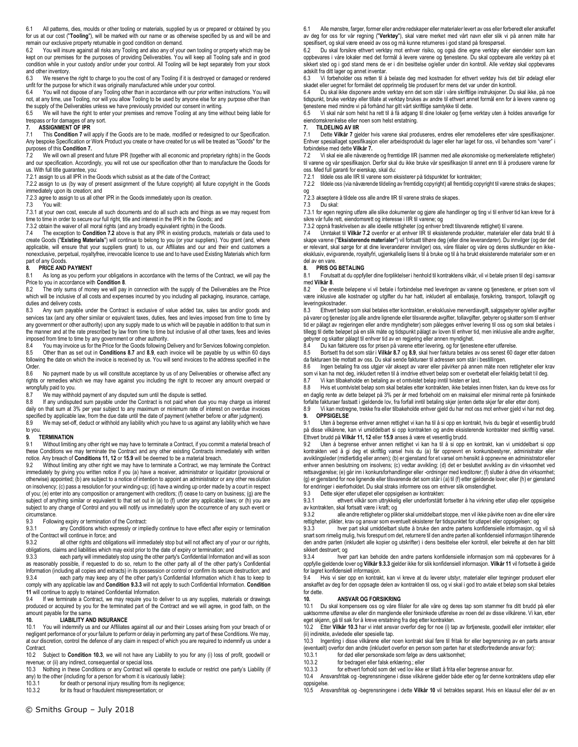6.1 All patterns, dies, moulds or other tooling or materials, supplied by us or prepared or obtained by you for us at our cost ("**Tooling**"), will be marked with our name or as otherwise specified by us and will be and remain our exclusive property returnable in good condition on demand.<br>6.2 You will insure against all risks any Tooling and also any of you

You will insure against all risks any Tooling and also any of your own tooling or property which may be kept on our premises for the purposes of providing Deliverables. You will keep all Tooling safe and in good condition while in your custody and/or under your control. All Tooling will be kept separately from your stock and other inventory.

6.3 We reserve the right to charge to you the cost of any Tooling if it is destroyed or damaged or rendered unfit for the purpose for which it was originally manufactured while under your control.<br>6.4 You will not dispose of any Tooling other than in accordance with our prior writ

6.4 You will not dispose of any Tooling other than in accordance with our prior written instructions. You will not, at any time, use Tooling, nor will you allow Tooling to be used by anyone else for any purpose other than the supply of the Deliverables unless we have previously provided our consent in writing.

6.5 We will have the right to enter your premises and remove Tooling at any time without being liable for trespass or for damages of any sort.

# **7. ASSIGNMENT OF IPR**<br>**7.1** This Condition 7 will

7.1 This **Condition 7** will apply if the Goods are to be made, modified or redesigned to our Specification. Any bespoke Specification or Work Product you create or have created for us will be treated as "Goods" for the purposes of this **Condition 7.**

7.2 We will own all present and future IPR (together with all economic and proprietary rights) in the Goods and our specification. Accordingly, you will not use our specification other than to manufacture the Goods for us. With full title guarantee, you:

7.2.1 assign to us all IPR in the Goods which subsist as at the date of the Contract:

7.2.2 assign to us (by way of present assignment of the future copyright) all future copyright in the Goods immediately upon its creation; and

7.2.3 agree to assign to us all other IPR in the Goods immediately upon its creation.

7.3 You will:

7.3.1 at your own cost, execute all such documents and do all such acts and things as we may request from time to time in order to secure our full right, title and interest in the IPR in the Goods; and

7.3.2 obtain the waiver of all moral rights (and any broadly equivalent rights) in the Goods.

7.4 The exception to **Condition 7.2** above is that any IPR in existing products, materials or data used to create Goods ("**Existing Materials**") will continue to belong to you (or your suppliers). You grant (and, where applicable, will ensure that your suppliers grant) to us, our Affiliates and our and their end customers a nonexclusive, perpetual, royaltyfree, irrevocable licence to use and to have used Existing Materials which form part of any Goods.<br>8. **PRICE AND** 

#### **8. PRICE AND PAYMENT**

8.1 As long as you perform your obligations in accordance with the terms of the Contract, we will pay the Price to you in accordance with **Condition 8**.

The only sums of money we will pay in connection with the supply of the Deliverables are the Price which will be inclusive of all costs and expenses incurred by you including all packaging, insurance, carriage, duties and delivery costs.

8.3 Any sum payable under the Contract is exclusive of value added tax, sales tax and/or goods and services tax (and any other similar or equivalent taxes, duties, fees and levies imposed from time to time by any government or other authority) upon any supply made to us which will be payable in addition to that sum in the manner and at the rate prescribed by law from time to time but inclusive of all other taxes, fees and levies imposed from time to time by any government or other authority.<br>8.4 You may invoice us for the Price for the Goods following I

8.4 You may invoice us for the Price for the Goods following Delivery and for Services following completion<br>8.5 Other than as set out in Conditions 8.7 and 8.9, each invoice will be payable by us within 60 days 8.5 Other than as set out in **Conditions 8.7** and **8.9**, each invoice will be payable by us within 60 days following the date on which the invoice is received by us. You will send invoices to the address specified in the Order.<br>8.6

No payment made by us will constitute acceptance by us of any Deliverables or otherwise affect any rights or remedies which we may have against you including the right to recover any amount overpaid or wrongfully paid to you.

8.7 We may withhold payment of any disputed sum until the dispute is settled.<br>8.8 If any undisputed sum payable under the Contract is not paid when due

If any undisputed sum payable under the Contract is not paid when due you may charge us interest daily on that sum at 3% per year subject to any maximum or minimum rate of interest on overdue invoices specified by applicable law, from the due date until the date of payment (whether before or after judgment).

8.9 We may set-off, deduct or withhold any liability which you have to us against any liability which we have to you.

#### **9. TERMINATION**

9.1 Without limiting any other right we may have to terminate a Contract, if you commit a material breach of these Conditions we may terminate the Contract and any other existing Contracts immediately with written notice. Any breach of **Conditions 11, 12** or **15.9** will be deemed to be a material breach.<br>9.2 Without limiting any other right we may have to terminate a Contract, we may te

Without limiting any other right we may have to terminate a Contract, we may terminate the Contract immediately by giving you written notice if you (a) have a receiver, administrator or liquidator (provisional or otherwise) appointed; (b) are subject to a notice of intention to appoint an administrator or any other resolution on insolvency; (c) pass a resolution for your winding-up; (d) have a winding up order made by a court in respect of you; (e) enter into any composition or arrangement with creditors; (f) cease to carry on business; (g) are the subject of anything similar or equivalent to that set out in (a) to (f) under any applicable laws; or (h) you are subject to any change of Control and you will notify us immediately upon the occurrence of any such event or circumstance<br>9.3 Follow

9.3 Following expiry or termination of the Contract:<br>9.3.1 any Conditions which expressly or implement

any Conditions which expressly or impliedly continue to have effect after expiry or termination of the Contract will continue in force; and<br>9.3.2 all other rights and obligati

all other rights and obligations will immediately stop but will not affect any of your or our rights, obligations, claims and liabilities which may exist prior to the date of expiry or termination; and

9.3.3 each party will immediately stop using the other party's Confidential Information and will as soon as reasonably possible, if requested to do so, return to the other party all of the other party's Confidential Information (including all copies and extracts) in its possession or control or confirm its secure destruction; and<br>9.3.4 each party may keep any of the other party's Confidential Information which it has to keep to each party may keep any of the other party's Confidential Information which it has to keep to

comply with any applicable law and **Condition 9.3.3** will not apply to such Confidential Information. **Condition 11** will continue to apply to retained Confidential Information. 9.4 If we terminate a Contract, we may require you to deliver to us any supplies, materials or drawings

produced or acquired by you for the terminated part of the Contract and we will agree, in good faith, on the amount payable for the same.<br>10. LIABILITY AN

## **10. LIABILITY AND INSURANCE**<br>10.1 You will indemnify us and our Affiliates

You will indemnify us and our Affiliates against all our and their Losses arising from your breach of or negligent performance of or your failure to perform or delay in performing any part of these Conditions. We may, at our discretion, control the defence of any claim in respect of which you are required to indemnify us under a Contract.

10.2 Subject to **Condition 10.3**, we will not have any Liability to you for any (i) loss of profit, goodwill or revenue; or (ii) any indirect, consequential or special loss.

10.3 Nothing in these Conditions or any Contract will operate to exclude or restrict one party's Liability (if any) to the other (including for a person for whom it is vicariously liable):

10.3.1 for death or personal injury resulting from its negligence;<br>10.3.2 for its fraud or fraudulent misrepresentation: or

for its fraud or fraudulent misrepresentation; or

tjenestene med mindre vi på forhånd har gitt vårt skriftlige samtykke til dette. 6.5 Vi skal når som helst ha rett til å få adgang til dine lokaler og fjerne verktøy uten å holdes ansvarlige for

eiendomskrenkelse eller noen som helst erstatning.<br>7. TILDELING AV IIR

skadet eller uegnet for formålet det opprinnelig ble produsert for mens det var under din kontroll.

spesifisert, og skal være eneeid av oss og må kunne returneres i god stand på forespørsel.<br>62. Du skal forsikre ethvert verktøv mot enhver risiko, og også dine egne verktøv ell

## **7. TILDELING AV IIR**

adskilt fra ditt lager og annet inventar.

7.1 Dette **Vilkår 7** gjelder hvis varene skal produseres, endres eller remodelleres etter våre spesifikasjoner. Enhver spesiallaget spesifikasjon eller arbeidsprodukt du lager eller har laget for oss, vil behandles som "varer" i forbindelse med dette **Vilkår 7.**

6.1 Alle mønstre, farger, former eller andre redskaper eller materialer levert av oss eller forberedt eller anskaffet av deg for oss for vår regning ("**Verktøy**"), skal være merket med vårt navn eller slik vi på annen måte har

6.3 Vi forbeholder oss retten til å belaste deg med kostnaden for ethvert verktøy hvis det blir ødelagt eller

6.2 Du skal forsikre ethvert verktøy mot enhver risiko, og også dine egne verktøy eller eiendeler som kan oppbevares i våre lokaler med det formål å levere varene og tjenestene. Du skal oppbevare alle verktøy på et sikkert sted og i god stand mens de er i din besittelse og/eller under din kontroll. Alle verktøy skal oppbevares

6.4 Du skal ikke disponere andre verktøy enn det som står i våre skriftlige instruksjoner. Du skal ikke, på noe tidspunkt, bruke verktøy eller tillate at verktøy brukes av andre til ethvert annet formål enn for å levere varene og

7.2 Vi skal eie alle nåværende og fremtidige IIR (sammen med alle økonomiske og merkerelaterte rettigheter) til varene og vår spesifikasjon. Derfor skal du ikke bruke vår spesifikasjon til annet enn til å produsere varene for oss. Med full garanti for eierskap, skal du:

7.2.1 tildele oss alle IIR til varene som eksisterer på tidspunktet for kontrakten;

7.2.2 tildele oss (via nåværende tildeling av fremtidig copyright) all fremtidig copyright til varene straks de skapes;

og 7.2.3 akseptere å tildele oss alle andre IIR til varene straks de skapes.

7.3 Du skal:

7.3.1 for egen regning utføre alle slike dokumenter og gjøre alle handlinger og ting vi til enhver tid kan kreve for å sikre vår fulle rett, eiendomsrett og interesse i IIR til varene; og

7.3.2 oppnå fraskrivelsen av alle ideelle rettigheter (og enhver bredt tilsvarende rettighet) til varene.

7.4 Unntaket til **Vilkår 7.2** ovenfor er at enhver IIR til eksisterende produkter, materialer eller data brukt til å skape varene ("**Eksisterende materialer**") vil fortsatt tilhøre deg (eller dine leverandører). Du innvilger (og der det er relevant, skal sørge for at dine leverandører innvilger) oss, våre filialer og våre og deres sluttkunder en ikkeeksklusiv, evigvarende, royaltyfri, ugjenkallelig lisens til å bruke og til å ha brukt eksisterende materialer som er en del av en vare.

#### **8. PRIS OG BETALING**

8.1 Forutsatt at du oppfyller dine forpliktelser i henhold til kontraktens vilkår, vil vi betale prisen til deg i samsvar med **Vilkår 8**.

8.2 De eneste beløpene vi vil betale i forbindelse med leveringen av varene og tjenestene, er prisen som vil være inklusive alle kostnader og utgifter du har hatt, inkludert all emballasje, forsikring, transport, tollavgift og leveringskostnader

8.3 Ethvert beløp som skal betales etter kontrakten, er eksklusive merverdiavgift, salgsgebyrer og/eller avgifter på varer og tjenester (og alle andre lignende eller tilsvarende avgifter, tollavgifter, gebyrer og skatter som til enhver tid er pålagt av regjeringen eller andre myndigheter) som pålegges enhver levering til oss og som skal betales i tillegg til dette beløpet på en slik måte og tidspunkt pålagt av loven til enhver tid, men inklusive alle andre avgifter, gebyrer og skatter pålagt til enhver tid av en regjering eller annen myndighet.<br>8.4 Du kan fakturere oss for prisen på varene etter levering, og for tienest

Du kan fakturere oss for prisen på varene etter levering, og for tjenestene etter utførelse.

8.5 Bortsett fra det som står i **Vilkår 8.7** og **8.9**, skal hver faktura betales av oss senest 60 dager etter datoen da fakturaen ble mottatt av oss. Du skal sende fakturaer til adressen som står i bestillingen.<br>8 6. – Ingen betaling fra ossutnigg vår aksent av varer eller påvirker på annen måte noeu

8.6 Ingen betaling fra oss utgjør vår aksept av varer eller påvirker på annen måte noen rettigheter eller krav som vi kan ha mot deg, inkludert retten til å inndrive ethvert beløp som er overbetalt eller feilaktig betalt til deg.

8.7 Vi kan tilbakeholde en betaling av et omtvistet beløp inntil tvisten er løst.

8.8 Hvis et uomtvistet beløp som skal betales etter kontrakten, ikke betales innen fristen, kan du kreve oss for en daglig rente av dette beløpet på 3% per år med forbehold om en maksimal eller minimal rente på forsinkede forfalte fakturaer fastsatt i gjeldende lov, fra forfall inntil betaling skjer (enten dette skjer før eller etter dom).

8.9 Vi kan motregne, trekke fra eller tilbakeholde enhver gjeld du har mot oss mot enhver gjeld vi har mot deg. **9. OPPSIGELSE**

9.1 Uten å begrense enhver annen rettighet vi kan ha til å si opp en kontrakt, hvis du begår et vesentlig brudd på disse vilkårene, kan vi umiddelbart si opp kontrakten og andre eksisterende kontrakter med skriftlig varsel. Ethvert brudd på **Vilkår 11, 12** eller **15.9** anses å være et vesentlig brudd.

9.2 Uten å begrense enhver annen rettighet vi kan ha til å si opp en kontrakt, kan vi umiddelbart si opp kontrakten ved å gi deg et skriftlig varsel hvis du (a) får oppnevnt en konkursbestyrer, administrator eller avviklingsleder (midlertidig eller annen); (b) er gjenstand for et varsel om hensikt å oppnevne en administrator eller enhver annen beslutning om insolvens; (c) vedtar avvikling; (d) det er besluttet avvikling av din virksomhet ved rettsavgjørelse; (e) går inn i konkursforhandlinger eller -ordninger med kreditorer; (f) slutter å drive din virksomhet; (g) er gjenstand for noe lignende eller tilsvarende det som står i (a) til (f) etter gjeldende lover; eller (h) er gjenstand for endringer i eierforholdet. Du skal straks informere oss om enhver slik omstendighet.

9.3 Dette skjer etter utløpet eller oppsigelsen av kontrakten:

ethvert vilkår som uttrykkelig eller underforstått fortsetter å ha virkning etter utløp eller oppsigelse av kontrakten, skal fortsatt være i kraft; og

alle andre rettigheter og plikter skal umiddelbart stoppe, men vil ikke påvirke noen av dine eller våre rettigheter, plikter, krav og ansvar som eventuelt eksisterer før tidspunktet for utløpet eller oppsigelsen; og<br>933 – hver part skal umiddelbart slutte å bruke den andre partens konfidensielle informasion, og

9.3.3 hver part skal umiddelbart slutte å bruke den andre partens konfidensielle informasjon, og vil så snart som rimelig mulig, hvis forespurt om det, returnere til den andre parten all konfidensiell informasjon tilhørende den andre parten (inkludert alle kopier og utskrifter) i dens besittelse eller kontroll, eller bekrefte at den har blitt sikkert destruert; og

9.3.4 hver part kan beholde den andre partens konfidensielle informasjon som må oppbevares for å oppfylle gjeldende lover og **Vilkår 9.3.3** gjelder ikke for slik konfidensiell informasjon. **Vilkår 11** vil fortsette å gjelde for lagret konfidensiell informasjon.<br>9.4 Hyjs vi sier opp en kontrak

Hvis vi sier opp en kontrakt, kan vi kreve at du leverer utstyr, materialer eller tegninger produsert eller anskaffet av deg for den oppsagte delen av kontrakten til oss, og vi skal i god tro avtale et beløp som skal betales for dette.

#### **10. ANSVAR OG FORSIKRING**

10.1 Du skal kompensere oss og våre filialer for alle våre og deres tap som stammer fra ditt brudd på eller uaktsomme utførelse av eller din manglende eller forsinkede utførelse av noen del av disse vilkårene. Vi kan, etter eget skjønn, gå til sak for å kreve erstatning fra deg etter kontrakten.

10.2 Etter **Vilkår 10.3** har vi intet ansvar overfor deg for noe (i) tap av fortjeneste, goodwill eller inntekter; eller (ii) indirekte, avledede eller spesielle tap.

10.3 Ingenting i disse vilkårene eller noen kontrakt skal føre til fritak for eller begrensning av en parts ansvar (eventuelt) overfor den andre (inkludert overfor en person som parten har et stedfortredende ansvar for):

10.3.1 for død eller personskade som følge av dens uaktsomhet;<br>10.3.2 for bedrageri eller falsk erklæring : eller

10.3.2 for bedrageri eller falsk erklæring.; eller<br>10.3.3 for ethvert forhold som det ved lov ikke

for ethvert forhold som det ved lov ikke er tillatt å frita eller begrense ansvar for.

10.4 Ansvarsfritak og -begrensningene i disse vilkårene gjelder både etter og før denne kontraktens utløp eller oppsigelse.

10.5 Ansvarsfritak og -begrensningene i dette **Vilkår 10** vil betraktes separat. Hvis en klausul eller del av en